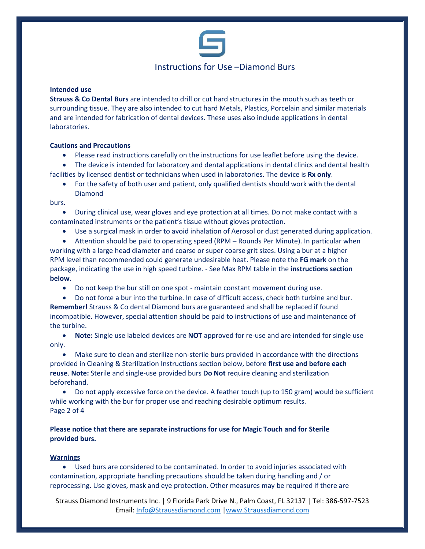

## Instructions for Use –Diamond Burs

### **Intended use**

**Strauss & Co Dental Burs** are intended to drill or cut hard structures in the mouth such as teeth or surrounding tissue. They are also intended to cut hard Metals, Plastics, Porcelain and similar materials and are intended for fabrication of dental devices. These uses also include applications in dental laboratories.

### **Cautions and Precautions**

• Please read instructions carefully on the instructions for use leaflet before using the device.

• The device is intended for laboratory and dental applications in dental clinics and dental health facilities by licensed dentist or technicians when used in laboratories. The device is **Rx only**.

• For the safety of both user and patient, only qualified dentists should work with the dental Diamond

burs.

• During clinical use, wear gloves and eye protection at all times. Do not make contact with a contaminated instruments or the patient's tissue without gloves protection.

• Use a surgical mask in order to avoid inhalation of Aerosol or dust generated during application.

• Attention should be paid to operating speed (RPM – Rounds Per Minute). In particular when working with a large head diameter and coarse or super coarse grit sizes. Using a bur at a higher RPM level than recommended could generate undesirable heat. Please note the **FG mark** on the package, indicating the use in high speed turbine. - See Max RPM table in the **instructions section below**.

• Do not keep the bur still on one spot - maintain constant movement during use.

• Do not force a bur into the turbine. In case of difficult access, check both turbine and bur. **Remember!** Strauss & Co dental Diamond burs are guaranteed and shall be replaced if found incompatible. However, special attention should be paid to instructions of use and maintenance of the turbine.

• **Note:** Single use labeled devices are **NOT** approved for re-use and are intended for single use only.

• Make sure to clean and sterilize non-sterile burs provided in accordance with the directions provided in Cleaning & Sterilization Instructions section below, before **first use and before each reuse**. **Note:** Sterile and single-use provided burs **Do Not** require cleaning and sterilization beforehand.

• Do not apply excessive force on the device. A feather touch (up to 150 gram) would be sufficient while working with the bur for proper use and reaching desirable optimum results. Page 2 of 4

**Please notice that there are separate instructions for use for Magic Touch and for Sterile provided burs.**

### **Warnings**

• Used burs are considered to be contaminated. In order to avoid injuries associated with contamination, appropriate handling precautions should be taken during handling and / or reprocessing. Use gloves, mask and eye protection. Other measures may be required if there are

Strauss Diamond Instruments Inc. | 9 Florida Park Drive N., Palm Coast, FL 32137 | Tel: 386-597-7523 Email: [Info@Straussdiamond.com](mailto:Info@Straussdiamond.com) [|www.Straussdiamond.com](http://www.straussdiamond.com/)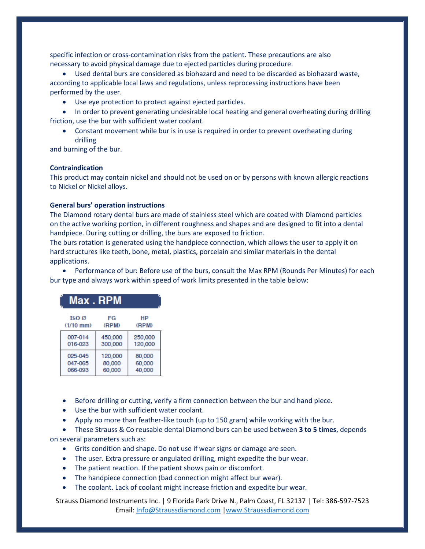specific infection or cross-contamination risks from the patient. These precautions are also necessary to avoid physical damage due to ejected particles during procedure.

• Used dental burs are considered as biohazard and need to be discarded as biohazard waste, according to applicable local laws and regulations, unless reprocessing instructions have been performed by the user.

• Use eye protection to protect against ejected particles.

• In order to prevent generating undesirable local heating and general overheating during drilling friction, use the bur with sufficient water coolant.

• Constant movement while bur is in use is required in order to prevent overheating during drilling

and burning of the bur.

### **Contraindication**

This product may contain nickel and should not be used on or by persons with known allergic reactions to Nickel or Nickel alloys.

### **General burs' operation instructions**

The Diamond rotary dental burs are made of stainless steel which are coated with Diamond particles on the active working portion, in different roughness and shapes and are designed to fit into a dental handpiece. During cutting or drilling, the burs are exposed to friction.

The burs rotation is generated using the handpiece connection, which allows the user to apply it on hard structures like teeth, bone, metal, plastics, porcelain and similar materials in the dental applications.

• Performance of bur: Before use of the burs, consult the Max RPM (Rounds Per Minutes) for each bur type and always work within speed of work limits presented in the table below:

| Max.RPM          |         |         |
|------------------|---------|---------|
| ISO <sub>Ø</sub> | FG      | НP      |
| $(1/10$ mm $)$   | (RPM)   | (RPM)   |
| 007-014          | 450,000 | 250,000 |
| 016-023          | 300,000 | 120,000 |
| 025-045          | 120,000 | 80,000  |
| 047-065          | 80,000  | 60,000  |
| 066-093          | 60,000  | 40,000  |

- Before drilling or cutting, verify a firm connection between the bur and hand piece.
- Use the bur with sufficient water coolant.
- Apply no more than feather-like touch (up to 150 gram) while working with the bur.

• These Strauss & Co reusable dental Diamond burs can be used between **3 to 5 times**, depends on several parameters such as:

- Grits condition and shape. Do not use if wear signs or damage are seen.
- The user. Extra pressure or angulated drilling, might expedite the bur wear.
- The patient reaction. If the patient shows pain or discomfort.
- The handpiece connection (bad connection might affect bur wear).
- The coolant. Lack of coolant might increase friction and expedite bur wear.

Strauss Diamond Instruments Inc. | 9 Florida Park Drive N., Palm Coast, FL 32137 | Tel: 386-597-7523 Email: [Info@Straussdiamond.com](mailto:Info@Straussdiamond.com) [|www.Straussdiamond.com](http://www.straussdiamond.com/)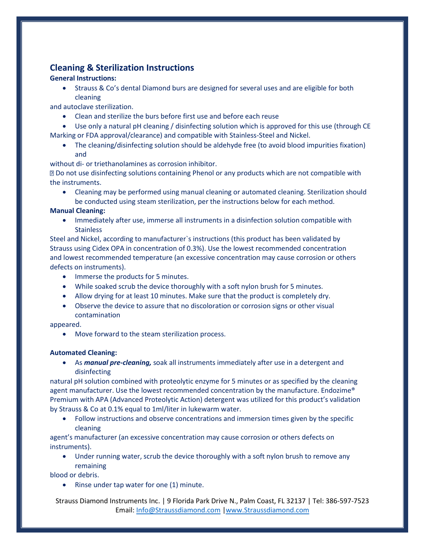# **Cleaning & Sterilization Instructions**

## **General Instructions:**

• Strauss & Co's dental Diamond burs are designed for several uses and are eligible for both cleaning

and autoclave sterilization.

- Clean and sterilize the burs before first use and before each reuse
- Use only a natural pH cleaning / disinfecting solution which is approved for this use (through CE Marking or FDA approval/clearance) and compatible with Stainless-Steel and Nickel.
	- The cleaning/disinfecting solution should be aldehyde free (to avoid blood impurities fixation) and

without di- or triethanolamines as corrosion inhibitor.

Do not use disinfecting solutions containing Phenol or any products which are not compatible with the instruments.

• Cleaning may be performed using manual cleaning or automated cleaning. Sterilization should be conducted using steam sterilization, per the instructions below for each method.

### **Manual Cleaning:**

• Immediately after use, immerse all instruments in a disinfection solution compatible with **Stainless** 

Steel and Nickel, according to manufacturer`s instructions (this product has been validated by Strauss using Cidex OPA in concentration of 0.3%). Use the lowest recommended concentration and lowest recommended temperature (an excessive concentration may cause corrosion or others defects on instruments).

- Immerse the products for 5 minutes.
- While soaked scrub the device thoroughly with a soft nylon brush for 5 minutes.
- Allow drying for at least 10 minutes. Make sure that the product is completely dry.
- Observe the device to assure that no discoloration or corrosion signs or other visual contamination

appeared.

Move forward to the steam sterilization process.

### **Automated Cleaning:**

• As *manual pre-cleaning,* soak all instruments immediately after use in a detergent and disinfecting

natural pH solution combined with proteolytic enzyme for 5 minutes or as specified by the cleaning agent manufacturer. Use the lowest recommended concentration by the manufacture. Endozime® Premium with APA (Advanced Proteolytic Action) detergent was utilized for this product's validation by Strauss & Co at 0.1% equal to 1ml/liter in lukewarm water.

• Follow instructions and observe concentrations and immersion times given by the specific cleaning

agent's manufacturer (an excessive concentration may cause corrosion or others defects on instruments).

• Under running water, scrub the device thoroughly with a soft nylon brush to remove any remaining

blood or debris.

• Rinse under tap water for one (1) minute.

Strauss Diamond Instruments Inc. | 9 Florida Park Drive N., Palm Coast, FL 32137 | Tel: 386-597-7523 Email: [Info@Straussdiamond.com](mailto:Info@Straussdiamond.com) [|www.Straussdiamond.com](http://www.straussdiamond.com/)